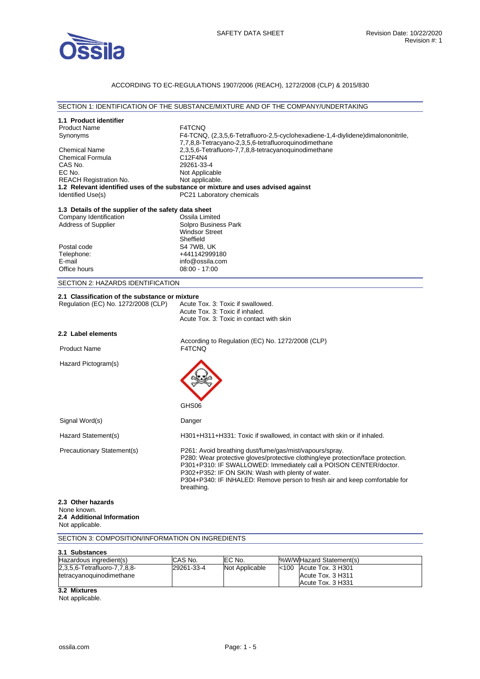

## ACCORDING TO EC-REGULATIONS 1907/2006 (REACH), 1272/2008 (CLP) & 2015/830

### SECTION 1: IDENTIFICATION OF THE SUBSTANCE/MIXTURE AND OF THE COMPANY/UNDERTAKING

| 1.1 Product identifier                               |                                                                                   |
|------------------------------------------------------|-----------------------------------------------------------------------------------|
| <b>Product Name</b>                                  | <b>F4TCNQ</b>                                                                     |
| Synonyms                                             | F4-TCNQ, (2,3,5,6-Tetrafluoro-2,5-cyclohexadiene-1,4-diylidene)dimalononitrile,   |
|                                                      | 7,7,8,8-Tetracyano-2,3,5,6-tetrafluoroquinodimethane                              |
| <b>Chemical Name</b><br><b>Chemical Formula</b>      | 2,3,5,6-Tetrafluoro-7,7,8,8-tetracyanoquinodimethane<br>C12F4N4                   |
| CAS No.                                              | 29261-33-4                                                                        |
| EC No.                                               | Not Applicable                                                                    |
| <b>REACH Registration No.</b>                        | Not applicable.                                                                   |
|                                                      | 1.2 Relevant identified uses of the substance or mixture and uses advised against |
| Identified Use(s)                                    | PC21 Laboratory chemicals                                                         |
| 1.3 Details of the supplier of the safety data sheet |                                                                                   |
| Company Identification                               | Ossila Limited                                                                    |
| <b>Address of Supplier</b>                           | Solpro Business Park                                                              |
|                                                      | <b>Windsor Street</b>                                                             |
|                                                      | Sheffield                                                                         |
| Postal code                                          | S4 7WB, UK                                                                        |
| Telephone:                                           | +441142999180                                                                     |
| E-mail                                               | info@ossila.com                                                                   |
| Office hours                                         | 08:00 - 17:00                                                                     |
| SECTION 2: HAZARDS IDENTIFICATION                    |                                                                                   |
| 2.1 Classification of the substance or mixture       |                                                                                   |
| Regulation (EC) No. 1272/2008 (CLP)                  | Acute Tox. 3: Toxic if swallowed.                                                 |
|                                                      | Acute Tox. 3: Toxic if inhaled.                                                   |
|                                                      | Acute Tox, 3: Toxic in contact with skin                                          |
| 2.2 Label elements                                   |                                                                                   |
|                                                      | According to Regulation (EC) No. 1272/2008 (CLP)                                  |
| <b>Product Name</b>                                  | F4TCNQ                                                                            |
|                                                      |                                                                                   |
| Hazard Pictogram(s)                                  |                                                                                   |
|                                                      |                                                                                   |
|                                                      |                                                                                   |
|                                                      |                                                                                   |
|                                                      |                                                                                   |
|                                                      | GHS06                                                                             |
| Signal Word(s)                                       | Danger                                                                            |
| Hazard Statement(s)                                  | H301+H311+H331: Toxic if swallowed, in contact with skin or if inhaled.           |
| Precautionary Statement(s)                           | P261: Avoid breathing dust/fume/gas/mist/vapours/spray.                           |
|                                                      | P280: Wear protective gloves/protective clothing/eye protection/face protection.  |
|                                                      | P301+P310: IF SWALLOWED: Immediately call a POISON CENTER/doctor.                 |
|                                                      | P302+P352: IF ON SKIN: Wash with plenty of water.                                 |
|                                                      | P304+P340: IF INHALED: Remove person to fresh air and keep comfortable for        |
|                                                      | breathing.                                                                        |
| 2.3 Other hazards                                    |                                                                                   |
| None known.                                          |                                                                                   |
| 2.4 Additional Information                           |                                                                                   |
| Not applicable.                                      |                                                                                   |
| SECTION 3: COMPOSITION/INFORMATION ON INGREDIENTS    |                                                                                   |
| 3.1 Substances                                       |                                                                                   |
| Hazardous ingredient(s)                              | CAS No.<br>EC No.<br>%W/WHazard Statement(s)                                      |

**3.2 Mixtures** 

2,3,5,6-Tetrafluoro-7,7,8,8 tetracyanoquinodimethane

Not applicable.

29261-33-4 Not Applicable <100 Acute Tox. 3 H301

Acute Tox. 3 H311 Acute Tox. 3 H331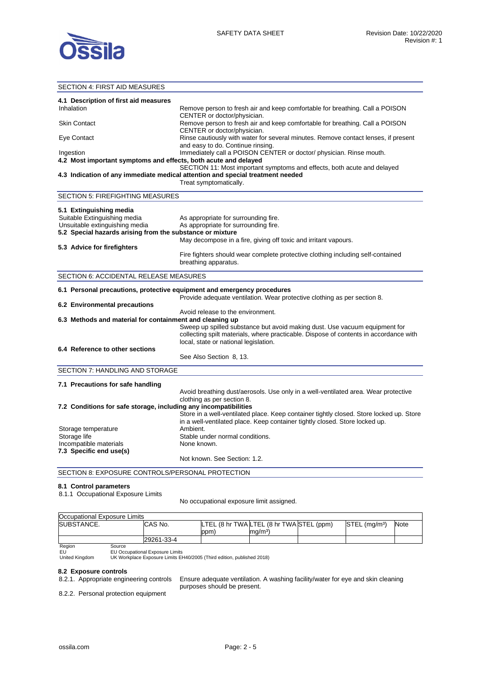

## SECTION 4: FIRST AID MEASURES **4.1 Description of first aid measures**  Inhalation **Remove person to fresh air and keep comfortable for breathing. Call a POISON** CENTER or doctor/physician. Skin Contact **Remove person to fresh air and keep comfortable for breathing. Call a POISON** CENTER or doctor/physician. Eye Contact Rinse cautiously with water for several minutes. Remove contact lenses, if present and easy to do. Continue rinsing. Ingestion Immediately call a POISON CENTER or doctor/ physician. Rinse mouth. **4.2 Most important symptoms and effects, both acute and delayed**  SECTION 11: Most important symptoms and effects, both acute and delayed **4.3 Indication of any immediate medical attention and special treatment needed**  Treat symptomatically. SECTION 5: FIREFIGHTING MEASURES **5.1 Extinguishing media**  Suitable Extinguishing media As appropriate for surrounding fire. Unsuitable extinguishing media As appropriate for surrounding fire. **5.2 Special hazards arising from the substance or mixture**  May decompose in a fire, giving off toxic and irritant vapours. **5.3 Advice for firefighters**  Fire fighters should wear complete protective clothing including self-contained breathing apparatus. SECTION 6: ACCIDENTAL RELEASE MEASURES **6.1 Personal precautions, protective equipment and emergency procedures**  Provide adequate ventilation. Wear protective clothing as per section 8. **6.2 Environmental precautions**  Avoid release to the environment. **6.3 Methods and material for containment and cleaning up**  Sweep up spilled substance but avoid making dust. Use vacuum equipment for collecting spilt materials, where practicable. Dispose of contents in accordance with local, state or national legislation. **6.4 Reference to other sections**  See Also Section 8, 13. SECTION 7: HANDLING AND STORAGE **7.1 Precautions for safe handling**  Avoid breathing dust/aerosols. Use only in a well-ventilated area. Wear protective clothing as per section 8. **7.2 Conditions for safe storage, including any incompatibilities**  Store in a well-ventilated place. Keep container tightly closed. Store locked up. Store in a well-ventilated place. Keep container tightly closed. Store locked up. Storage temperature **Ambient.**<br>Storage life example and the Stable unit Stable under normal conditions. Incompatible materials None known. **7.3 Specific end use(s)**  Not known. See Section: 1.2. SECTION 8: EXPOSURE CONTROLS/PERSONAL PROTECTION

#### **8.1 Control parameters**

8.1.1 Occupational Exposure Limits

No occupational exposure limit assigned.

| Occupational Exposure Limits              |            |      |                                          |                           |      |
|-------------------------------------------|------------|------|------------------------------------------|---------------------------|------|
| SUBSTANCE.                                | CAS No.    |      | LTEL (8 hr TWA LTEL (8 hr TWA STEL (ppm) | STEL (ma/m <sup>3</sup> ) | Note |
|                                           |            | ppm. | ma/m <sup>3</sup>                        |                           |      |
|                                           | 29261-33-4 |      |                                          |                           |      |
| $\mathbf{D}$ and $\mathbf{D}$<br><b>.</b> |            |      |                                          |                           |      |

∴egio<br>EU

EU EU Occupational Exposure Limits<br>
United Kingdom UK Workplace Exposure Limits E United Kingdom UK Workplace Exposure Limits EH40/2005 (Third edition, published 2018)

8.2 Exposure controls<br>8.2.1. Appropriate engineering controls

Ensure adequate ventilation. A washing facility/water for eye and skin cleaning purposes should be present.

8.2.2. Personal protection equipment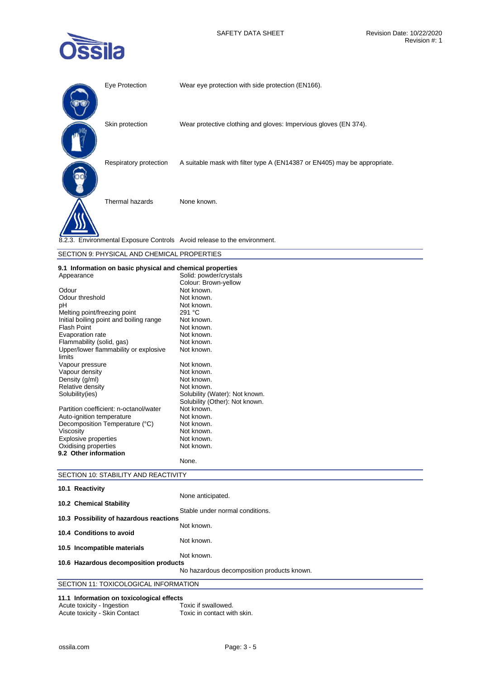

| Eye Protection         | Wear eye protection with side protection (EN166).                         |
|------------------------|---------------------------------------------------------------------------|
| Skin protection        | Wear protective clothing and gloves: Impervious gloves (EN 374).          |
| Respiratory protection | A suitable mask with filter type A (EN14387 or EN405) may be appropriate. |
| Thermal hazards        | None known.                                                               |
|                        | 8.2.3. Environmental Exposure Controls Avoid release to the environment.  |

| SECTION 9: PHYSICAL AND CHEMICAL PROPERTIES |
|---------------------------------------------|
|---------------------------------------------|

## **9.1 Information on basic physical and chemical properties**

| Appearance                                      | Solid: powder/crystals         |
|-------------------------------------------------|--------------------------------|
|                                                 | Colour: Brown-yellow           |
| Odour                                           | Not known.                     |
| Odour threshold                                 | Not known.                     |
| рH                                              | Not known.                     |
| Melting point/freezing point                    | 291 °C                         |
| Initial boiling point and boiling range         | Not known.                     |
| <b>Flash Point</b>                              | Not known.                     |
| Evaporation rate                                | Not known.                     |
| Flammability (solid, gas)                       | Not known.                     |
| Upper/lower flammability or explosive<br>limits | Not known.                     |
| Vapour pressure                                 | Not known.                     |
| Vapour density                                  | Not known.                     |
| Density (g/ml)                                  | Not known.                     |
| Relative density                                | Not known.                     |
| Solubility(ies)                                 | Solubility (Water): Not known. |
|                                                 | Solubility (Other): Not known. |
| Partition coefficient: n-octanol/water          | Not known.                     |
| Auto-ignition temperature                       | Not known.                     |
| Decomposition Temperature (°C)                  | Not known.                     |
| Viscosity                                       | Not known.                     |
| Explosive properties                            | Not known.                     |
| Oxidising properties                            | Not known.                     |
| 9.2 Other information                           |                                |
|                                                 | None.                          |

## SECTION 10: STABILITY AND REACTIVITY

| 10.1 Reactivity                         |                                            |
|-----------------------------------------|--------------------------------------------|
| 10.2 Chemical Stability                 | None anticipated.                          |
| 10.3 Possibility of hazardous reactions | Stable under normal conditions.            |
| 10.4 Conditions to avoid                | Not known.                                 |
| 10.5 Incompatible materials             | Not known.                                 |
| 10.6 Hazardous decomposition products   | Not known.                                 |
|                                         | No hazardous decomposition products known. |
| SECTION 11: TOXICOLOGICAL INFORMATION   |                                            |

# **11.1 Information on toxicological effects**

| Acute toxicity - Ingestion    | Toxic if swallowed.         |
|-------------------------------|-----------------------------|
| Acute toxicity - Skin Contact | Toxic in contact with skin. |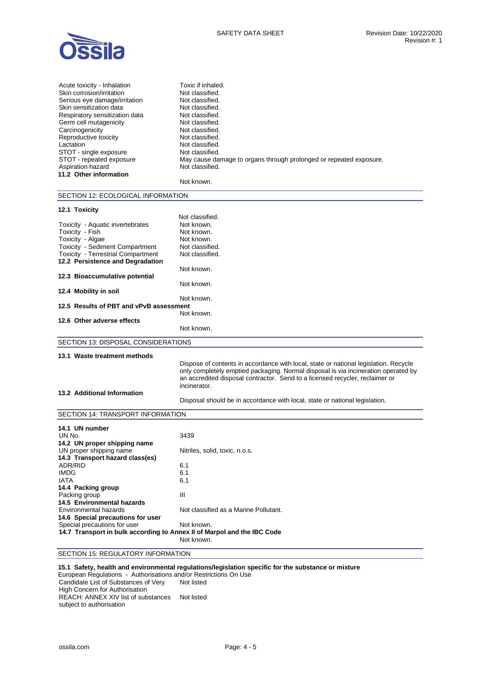

| Acute toxicity - Inhalation    | Toxic if inhaled.                                                  |
|--------------------------------|--------------------------------------------------------------------|
| Skin corrosion/irritation      | Not classified.                                                    |
| Serious eye damage/irritation  | Not classified.                                                    |
| Skin sensitization data        | Not classified.                                                    |
| Respiratory sensitization data | Not classified.                                                    |
| Germ cell mutagenicity         | Not classified.                                                    |
| Carcinogenicity                | Not classified.                                                    |
| Reproductive toxicity          | Not classified.                                                    |
| Lactation                      | Not classified.                                                    |
| STOT - single exposure         | Not classified.                                                    |
| STOT - repeated exposure       | May cause damage to organs through prolonged or repeated exposure. |
| Aspiration hazard              | Not classified.                                                    |
| 11.2 Other information         |                                                                    |
|                                | Not known.                                                         |

| SECTION 12: ECOLOGICAL INFORMATION        |                                                                                                                                                                                                                                                                            |  |
|-------------------------------------------|----------------------------------------------------------------------------------------------------------------------------------------------------------------------------------------------------------------------------------------------------------------------------|--|
| 12.1 Toxicity                             |                                                                                                                                                                                                                                                                            |  |
|                                           | Not classified.                                                                                                                                                                                                                                                            |  |
| Toxicity - Aquatic invertebrates          | Not known.                                                                                                                                                                                                                                                                 |  |
| Toxicity - Fish                           | Not known.                                                                                                                                                                                                                                                                 |  |
| Toxicity - Algae                          | Not known.                                                                                                                                                                                                                                                                 |  |
| <b>Toxicity - Sediment Compartment</b>    | Not classified.                                                                                                                                                                                                                                                            |  |
| <b>Toxicity - Terrestrial Compartment</b> | Not classified.                                                                                                                                                                                                                                                            |  |
| 12.2 Persistence and Degradation          |                                                                                                                                                                                                                                                                            |  |
|                                           | Not known.                                                                                                                                                                                                                                                                 |  |
| 12.3 Bioaccumulative potential            |                                                                                                                                                                                                                                                                            |  |
|                                           | Not known.                                                                                                                                                                                                                                                                 |  |
| 12.4 Mobility in soil                     |                                                                                                                                                                                                                                                                            |  |
|                                           | Not known.                                                                                                                                                                                                                                                                 |  |
| 12.5 Results of PBT and vPvB assessment   |                                                                                                                                                                                                                                                                            |  |
|                                           | Not known.                                                                                                                                                                                                                                                                 |  |
| 12.6 Other adverse effects                |                                                                                                                                                                                                                                                                            |  |
|                                           | Not known.                                                                                                                                                                                                                                                                 |  |
| SECTION 13: DISPOSAL CONSIDERATIONS       |                                                                                                                                                                                                                                                                            |  |
|                                           |                                                                                                                                                                                                                                                                            |  |
| 13.1 Waste treatment methods              |                                                                                                                                                                                                                                                                            |  |
| 13.2 Additional Information               | Dispose of contents in accordance with local, state or national legislation. Recycle<br>only completely emptied packaging. Normal disposal is via incineration operated by<br>an accredited disposal contractor. Send to a licensed recycler, reclaimer or<br>incinerator. |  |
|                                           | Disposal should be in accordance with local, state or national legislation.                                                                                                                                                                                                |  |
|                                           |                                                                                                                                                                                                                                                                            |  |
| SECTION 14: TRANSPORT INFORMATION         |                                                                                                                                                                                                                                                                            |  |

| 14.1 UN number                                                          |                                       |
|-------------------------------------------------------------------------|---------------------------------------|
| UN No.                                                                  | 3439                                  |
| 14.2 UN proper shipping name                                            |                                       |
| UN proper shipping name                                                 | Nitriles, solid, toxic, n.o.s.        |
| 14.3 Transport hazard class(es)                                         |                                       |
| ADR/RID                                                                 | 6.1                                   |
| <b>IMDG</b>                                                             | 6.1                                   |
| <b>IATA</b>                                                             | 6.1                                   |
| 14.4 Packing group                                                      |                                       |
| Packing group                                                           | Ш                                     |
| 14.5 Environmental hazards                                              |                                       |
| Environmental hazards                                                   | Not classified as a Marine Pollutant. |
| 14.6 Special precautions for user                                       |                                       |
| Special precautions for user                                            | Not known.                            |
| 14.7 Transport in bulk according to Annex II of Marpol and the IBC Code |                                       |
|                                                                         | Not known.                            |

## SECTION 15: REGULATORY INFORMATION

### **15.1 Safety, health and environmental regulations/legislation specific for the substance or mixture**

European Regulations - Authorisations and/or Restrictions On Use Candidate List of Substances of Very High Concern for Authorisation Not listed REACH: ANNEX XIV list of substances Not listed subject to authorisation